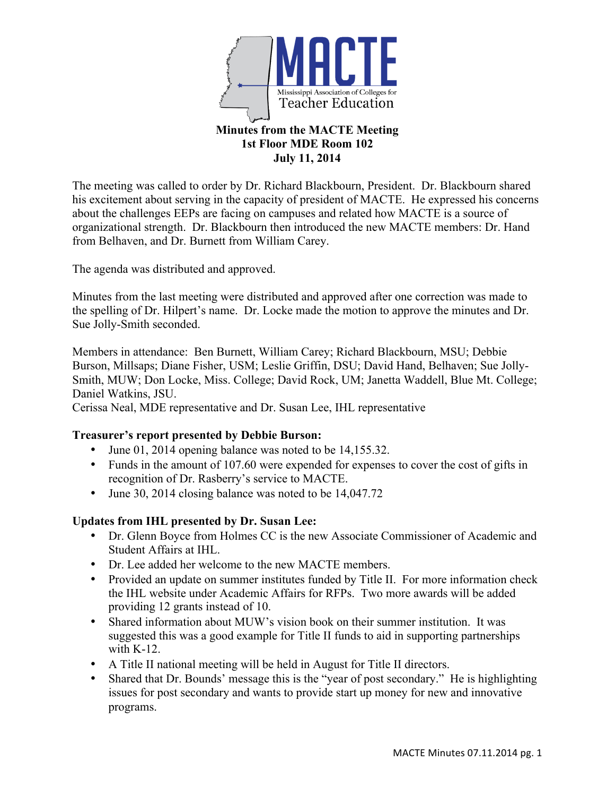

# **July 11, 2014**

The meeting was called to order by Dr. Richard Blackbourn, President. Dr. Blackbourn shared his excitement about serving in the capacity of president of MACTE. He expressed his concerns about the challenges EEPs are facing on campuses and related how MACTE is a source of organizational strength. Dr. Blackbourn then introduced the new MACTE members: Dr. Hand from Belhaven, and Dr. Burnett from William Carey.

The agenda was distributed and approved.

Minutes from the last meeting were distributed and approved after one correction was made to the spelling of Dr. Hilpert's name. Dr. Locke made the motion to approve the minutes and Dr. Sue Jolly-Smith seconded.

Members in attendance: Ben Burnett, William Carey; Richard Blackbourn, MSU; Debbie Burson, Millsaps; Diane Fisher, USM; Leslie Griffin, DSU; David Hand, Belhaven; Sue Jolly-Smith, MUW; Don Locke, Miss. College; David Rock, UM; Janetta Waddell, Blue Mt. College; Daniel Watkins, JSU.

Cerissa Neal, MDE representative and Dr. Susan Lee, IHL representative

## **Treasurer's report presented by Debbie Burson:**

- June 01, 2014 opening balance was noted to be 14,155.32.
- Funds in the amount of 107.60 were expended for expenses to cover the cost of gifts in recognition of Dr. Rasberry's service to MACTE.
- June 30, 2014 closing balance was noted to be 14,047.72

## **Updates from IHL presented by Dr. Susan Lee:**

- Dr. Glenn Boyce from Holmes CC is the new Associate Commissioner of Academic and Student Affairs at IHL.
- Dr. Lee added her welcome to the new MACTE members.
- Provided an update on summer institutes funded by Title II. For more information check the IHL website under Academic Affairs for RFPs. Two more awards will be added providing 12 grants instead of 10.
- Shared information about MUW's vision book on their summer institution. It was suggested this was a good example for Title II funds to aid in supporting partnerships with  $K-12$ .
- A Title II national meeting will be held in August for Title II directors.
- Shared that Dr. Bounds' message this is the "year of post secondary." He is highlighting issues for post secondary and wants to provide start up money for new and innovative programs.